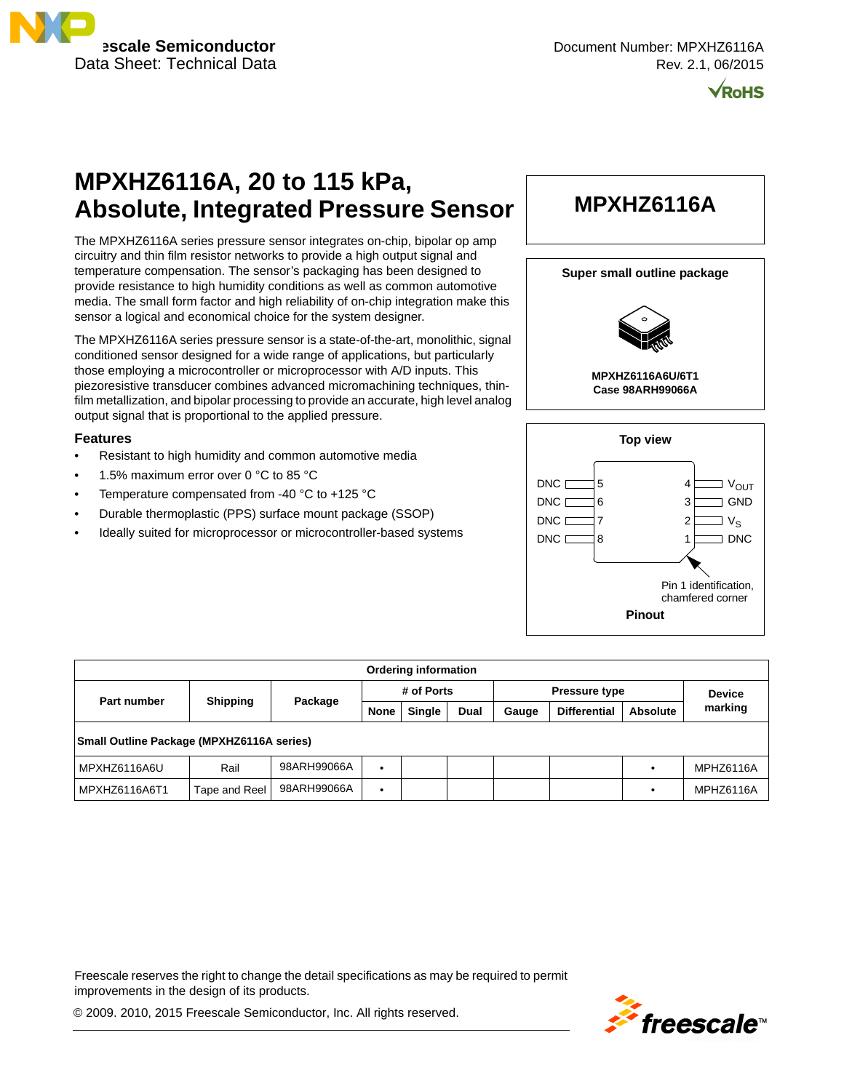

**/RoHS** 

# **MPXHZ6116A, 20 to 115 kPa, Absolute, Integrated Pressure Sensor**

The MPXHZ6116A series pressure sensor integrates on-chip, bipolar op amp circuitry and thin film resistor networks to provide a high output signal and temperature compensation. The sensor's packaging has been designed to provide resistance to high humidity conditions as well as common automotive media. The small form factor and high reliability of on-chip integration make this sensor a logical and economical choice for the system designer.

The MPXHZ6116A series pressure sensor is a state-of-the-art, monolithic, signal conditioned sensor designed for a wide range of applications, but particularly those employing a microcontroller or microprocessor with A/D inputs. This piezoresistive transducer combines advanced micromachining techniques, thinfilm metallization, and bipolar processing to provide an accurate, high level analog output signal that is proportional to the applied pressure.

#### **Features**

- Resistant to high humidity and common automotive media
- 1.5% maximum error over 0 °C to 85 °C
- Temperature compensated from -40  $^{\circ}$ C to +125  $^{\circ}$ C
- Durable thermoplastic (PPS) surface mount package (SSOP)
- Ideally suited for microprocessor or microcontroller-based systems

# **MPXHZ6116A**





**MPXHZ6116A6U/6T1 Case 98ARH99066A**



| <b>Ordering information</b>                      |                 |             |             |               |                      |       |                     |                 |           |
|--------------------------------------------------|-----------------|-------------|-------------|---------------|----------------------|-------|---------------------|-----------------|-----------|
|                                                  | <b>Shipping</b> | Package     | # of Ports  |               | <b>Pressure type</b> |       |                     | <b>Device</b>   |           |
| Part number                                      |                 |             | <b>None</b> | <b>Single</b> | <b>Dual</b>          | Gauge | <b>Differential</b> | <b>Absolute</b> | marking   |
| <b>Small Outline Package (MPXHZ6116A series)</b> |                 |             |             |               |                      |       |                     |                 |           |
| MPXHZ6116A6U                                     | Rail            | 98ARH99066A | $\bullet$   |               |                      |       |                     |                 | MPHZ6116A |
| MPXHZ6116A6T1                                    | Tape and Reel   | 98ARH99066A | $\bullet$   |               |                      |       |                     |                 | MPHZ6116A |

Freescale reserves the right to change the detail specifications as may be required to permit improvements in the design of its products.

© 2009. 2010, 2015 Freescale Semiconductor, Inc. All rights reserved.

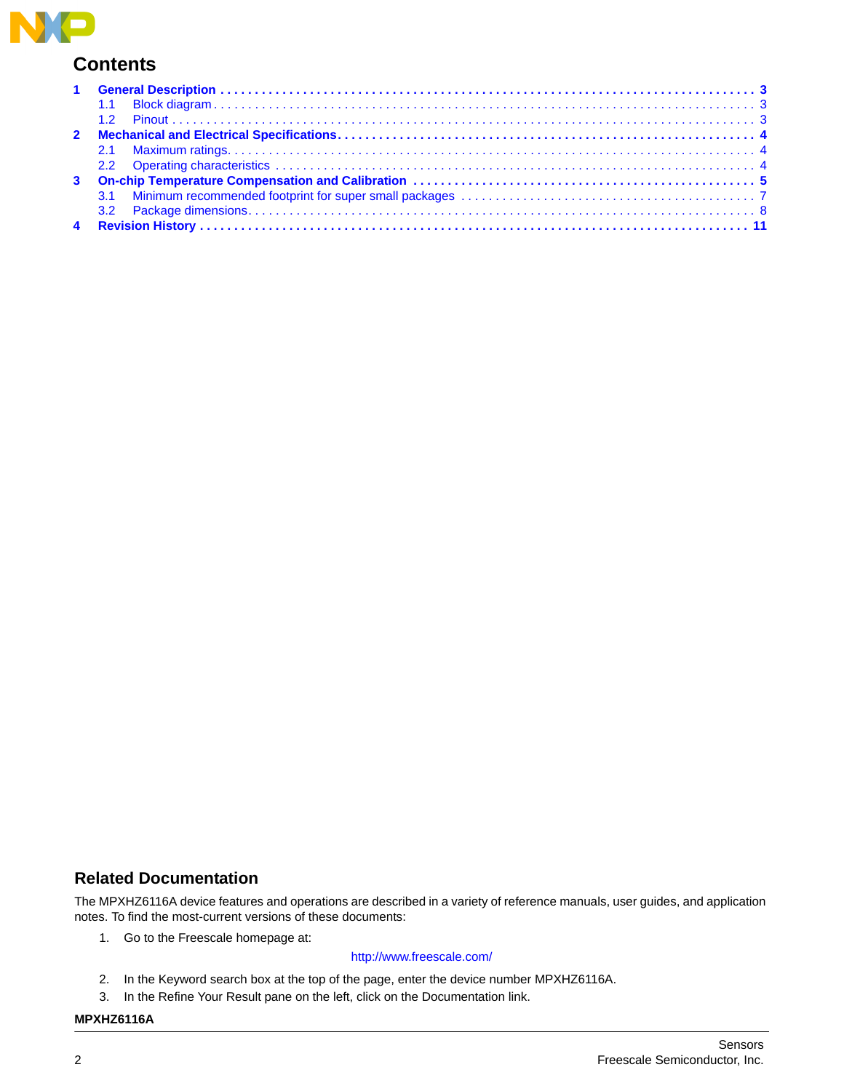

# **Contents**

## **Related Documentation**

The MPXHZ6116A device features and operations are described in a variety of reference manuals, user guides, and application notes. To find the most-current versions of these documents:

1. Go to the Freescale homepage at:

### <http://www.freescale.com/>

- 2. In the Keyword search box at the top of the page, enter the device number MPXHZ6116A.
- 3. In the Refine Your Result pane on the left, click on the Documentation link.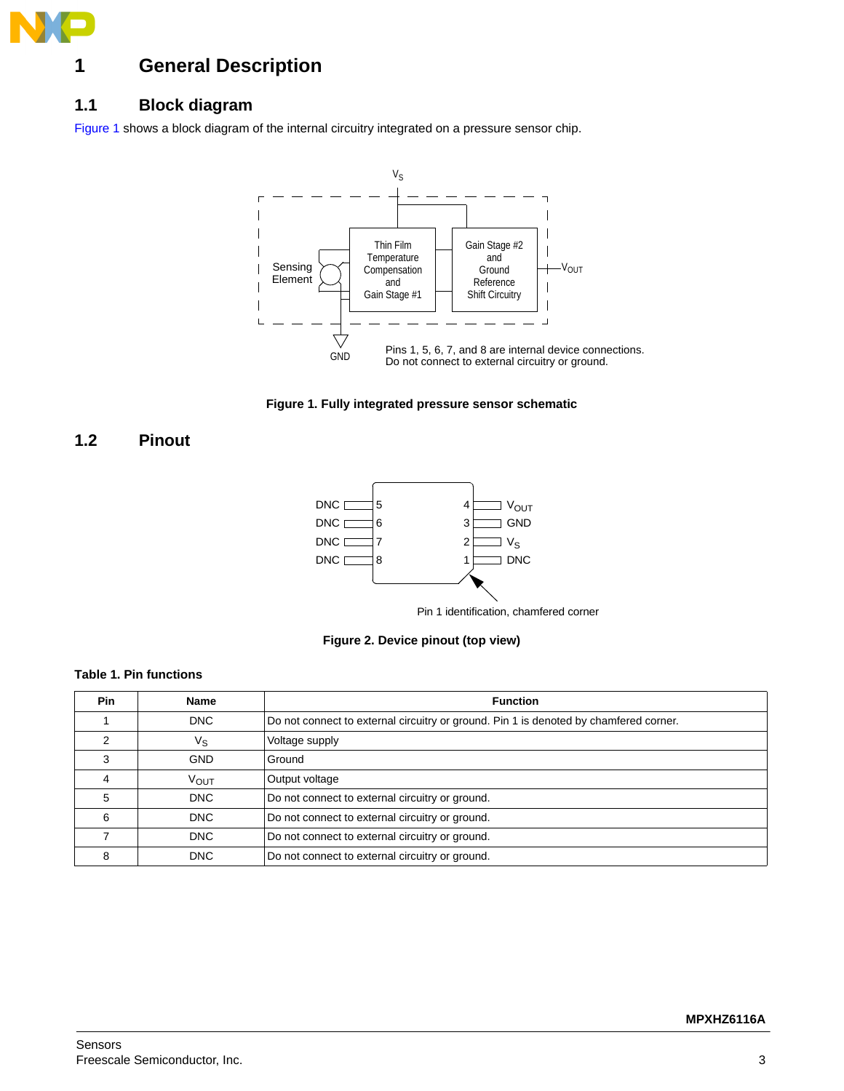

# <span id="page-2-0"></span>**1 General Description**

## <span id="page-2-1"></span>**1.1 Block diagram**

[Figure 1](#page-2-3) shows a block diagram of the internal circuitry integrated on a pressure sensor chip.



**Figure 1. Fully integrated pressure sensor schematic**

## <span id="page-2-3"></span><span id="page-2-2"></span>**1.2 Pinout**



**Figure 2. Device pinout (top view)**

### **Table 1. Pin functions**

| <b>Pin</b> | <b>Name</b>      | <b>Function</b>                                                                       |
|------------|------------------|---------------------------------------------------------------------------------------|
|            | <b>DNC</b>       | Do not connect to external circuitry or ground. Pin 1 is denoted by chamfered corner. |
|            | ν <sub>s</sub>   | Voltage supply                                                                        |
|            | <b>GND</b>       | Ground                                                                                |
|            | V <sub>OUT</sub> | Output voltage                                                                        |
| 5          | <b>DNC</b>       | Do not connect to external circuitry or ground.                                       |
| 6          | <b>DNC</b>       | Do not connect to external circuitry or ground.                                       |
|            | <b>DNC</b>       | Do not connect to external circuitry or ground.                                       |
| 8          | <b>DNC</b>       | Do not connect to external circuitry or ground.                                       |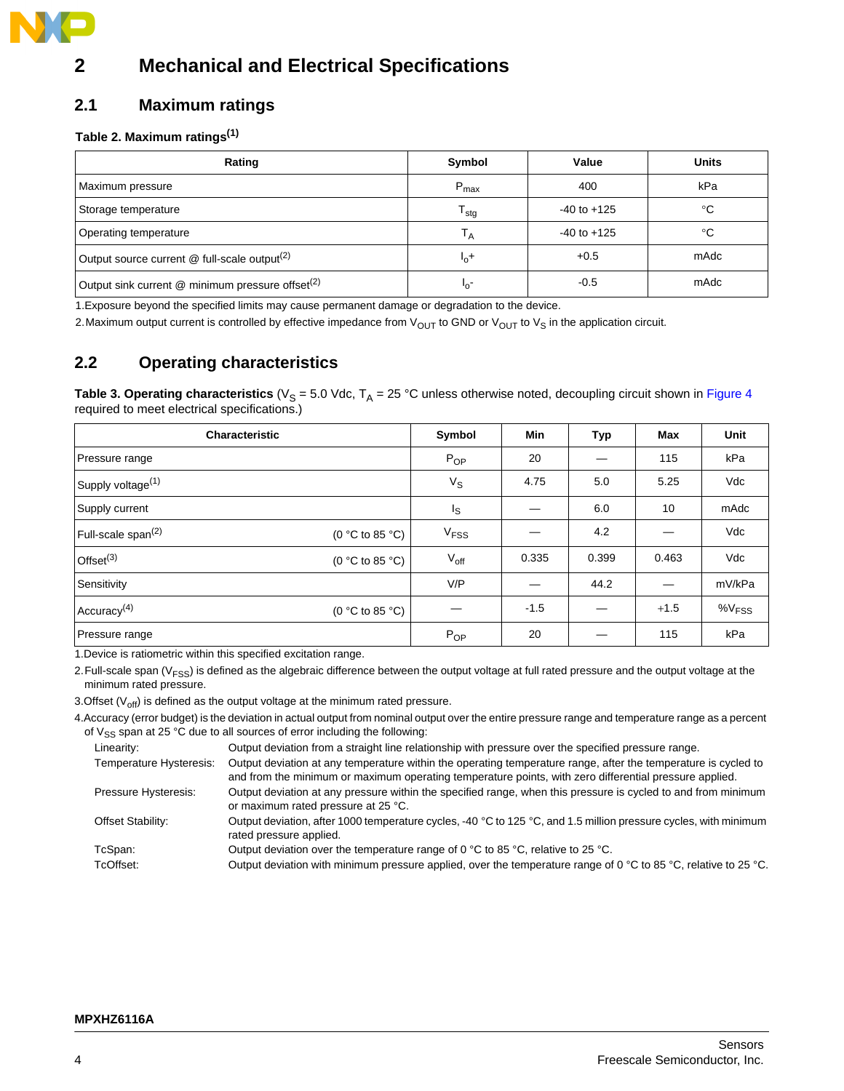

# <span id="page-3-0"></span>**2 Mechanical and Electrical Specifications**

## <span id="page-3-1"></span>**2.1 Maximum ratings**

### **Table 2. Maximum ratings(1)**

| Rating                                                       | Symbol                    | Value           | <b>Units</b> |
|--------------------------------------------------------------|---------------------------|-----------------|--------------|
| Maximum pressure                                             | $P_{\text{max}}$          | 400             | kPa          |
| Storage temperature                                          | $\mathsf{T}_{\text{stg}}$ | $-40$ to $+125$ | °C           |
| Operating temperature                                        | Т <sub>А</sub>            | $-40$ to $+125$ | °C           |
| Output source current $@$ full-scale output <sup>(2)</sup>   | $I_0$ +                   | $+0.5$          | mAdc         |
| Output sink current @ minimum pressure offset <sup>(2)</sup> | -0'                       | $-0.5$          | mAdc         |

1.Exposure beyond the specified limits may cause permanent damage or degradation to the device.

2. Maximum output current is controlled by effective impedance from  $V_{\text{OUT}}$  to GND or  $V_{\text{OUT}}$  to  $V_S$  in the application circuit.

# <span id="page-3-2"></span>**2.2 Operating characteristics**

**Table 3. Operating characteristics** ( $V_S = 5.0$  Vdc,  $T_A = 25$  °C unless otherwise noted, decoupling circuit shown in Figure 4 required to meet electrical specifications.)

| Characteristic                |                                   | Symbol           | <b>Min</b> | Тур   | <b>Max</b> | Unit                 |
|-------------------------------|-----------------------------------|------------------|------------|-------|------------|----------------------|
| Pressure range                |                                   | $P_{OP}$         | 20         |       | 115        | kPa                  |
| Supply voltage <sup>(1)</sup> |                                   | $V_{\rm S}$      | 4.75       | 5.0   | 5.25       | Vdc                  |
| Supply current                |                                   | Is               |            | 6.0   | 10         | mAdc                 |
| Full-scale span $(2)$         | (0 °C to 85 °C)                   | V <sub>FSS</sub> |            | 4.2   |            | Vdc                  |
| Offset $(3)$                  | (0 °C to 85 °C)                   | $V_{\text{off}}$ | 0.335      | 0.399 | 0.463      | Vdc                  |
| Sensitivity                   |                                   | V/P              |            | 44.2  |            | mV/kPa               |
| Accuracy <sup>(4)</sup>       | (0 $\degree$ C to 85 $\degree$ C) |                  | $-1.5$     |       | $+1.5$     | $\%V$ <sub>FSS</sub> |
| Pressure range                |                                   | $P_{OP}$         | 20         |       | 115        | kPa                  |

1.Device is ratiometric within this specified excitation range.

2. Full-scale span (V<sub>FSS</sub>) is defined as the algebraic difference between the output voltage at full rated pressure and the output voltage at the minimum rated pressure.

3.Offset ( $V_{\text{off}}$ ) is defined as the output voltage at the minimum rated pressure.

4.Accuracy (error budget) is the deviation in actual output from nominal output over the entire pressure range and temperature range as a percent of  $V_{SS}$  span at 25 °C due to all sources of error including the following:

| Linearity:              | Output deviation from a straight line relationship with pressure over the specified pressure range.                                                                                                                      |
|-------------------------|--------------------------------------------------------------------------------------------------------------------------------------------------------------------------------------------------------------------------|
| Temperature Hysteresis: | Output deviation at any temperature within the operating temperature range, after the temperature is cycled to<br>and from the minimum or maximum operating temperature points, with zero differential pressure applied. |
| Pressure Hysteresis:    | Output deviation at any pressure within the specified range, when this pressure is cycled to and from minimum<br>or maximum rated pressure at 25 °C.                                                                     |
| Offset Stability:       | Output deviation, after 1000 temperature cycles, -40 °C to 125 °C, and 1.5 million pressure cycles, with minimum<br>rated pressure applied.                                                                              |
| TcSpan:                 | Output deviation over the temperature range of 0 $^{\circ}$ C to 85 $^{\circ}$ C, relative to 25 $^{\circ}$ C.                                                                                                           |
| TcOffset:               | Output deviation with minimum pressure applied, over the temperature range of 0 °C to 85 °C, relative to 25 °C.                                                                                                          |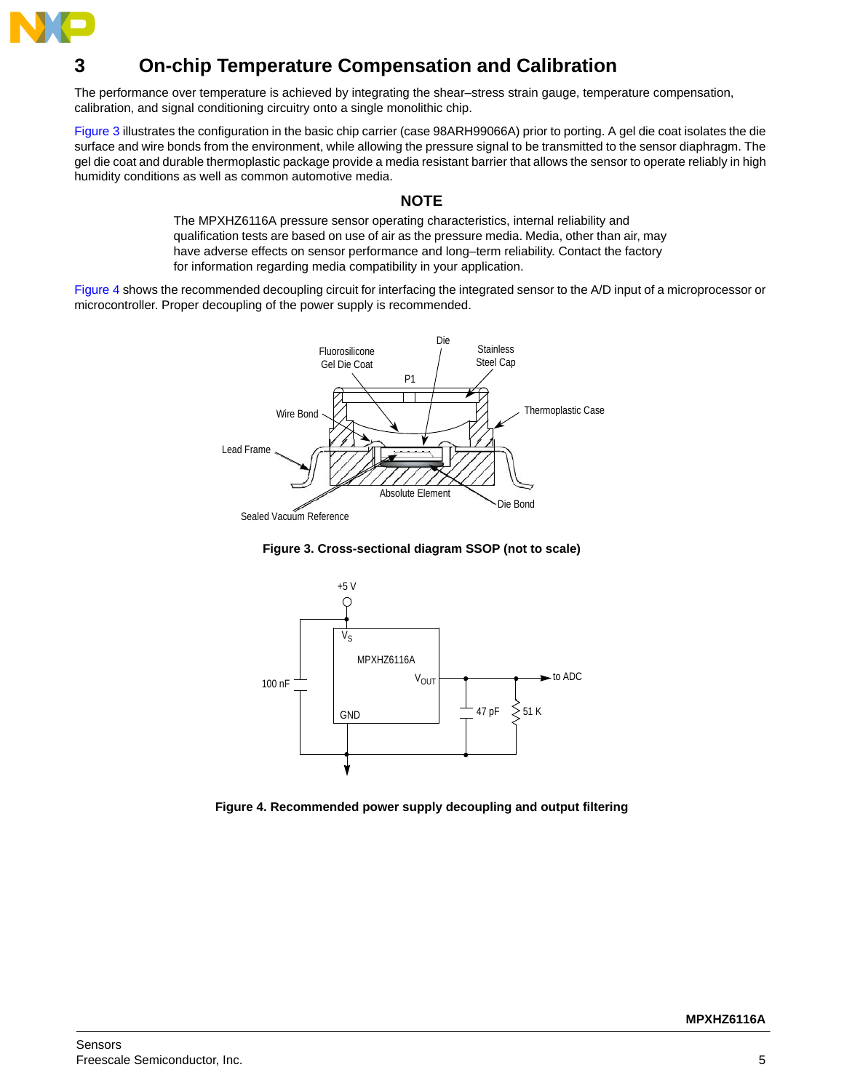

# <span id="page-4-0"></span>**3 On-chip Temperature Compensation and Calibration**

The performance over temperature is achieved by integrating the shear–stress strain gauge, temperature compensation, calibration, and signal conditioning circuitry onto a single monolithic chip.

Figure 3 illustrates the configuration in the basic chip carrier (case 98ARH99066A) prior to porting. A gel die coat isolates the die surface and wire bonds from the environment, while allowing the pressure signal to be transmitted to the sensor diaphragm. The gel die coat and durable thermoplastic package provide a media resistant barrier that allows the sensor to operate reliably in high humidity conditions as well as common automotive media.

### **NOTE**

The MPXHZ6116A pressure sensor operating characteristics, internal reliability and qualification tests are based on use of air as the pressure media. Media, other than air, may have adverse effects on sensor performance and long–term reliability. Contact the factory for information regarding media compatibility in your application.

Figure 4 shows the recommended decoupling circuit for interfacing the integrated sensor to the A/D input of a microprocessor or microcontroller. Proper decoupling of the power supply is recommended.







**Figure 4. Recommended power supply decoupling and output filtering**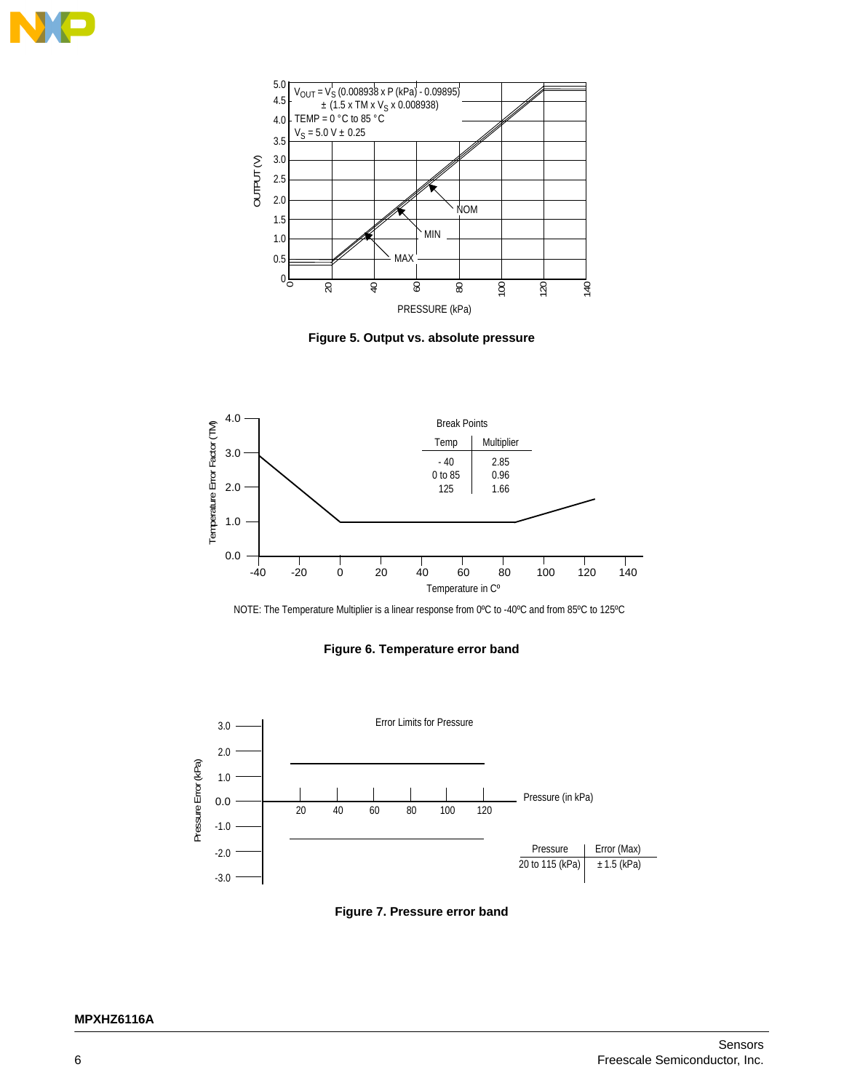









#### **Figure 6. Temperature error band**



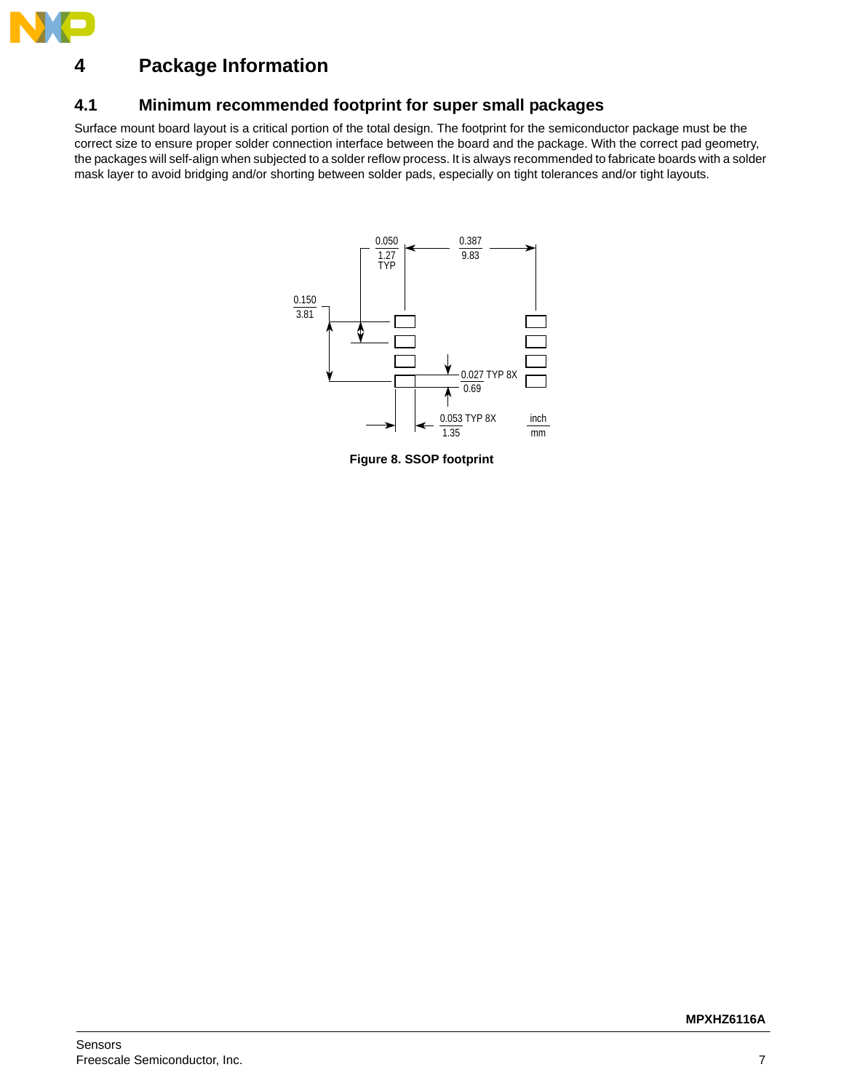

# <span id="page-6-0"></span>**4 Package Information**

## **4.1 Minimum recommended footprint for super small packages**

Surface mount board layout is a critical portion of the total design. The footprint for the semiconductor package must be the correct size to ensure proper solder connection interface between the board and the package. With the correct pad geometry, the packages will self-align when subjected to a solder reflow process. It is always recommended to fabricate boards with a solder mask layer to avoid bridging and/or shorting between solder pads, especially on tight tolerances and/or tight layouts.



**Figure 8. SSOP footprint**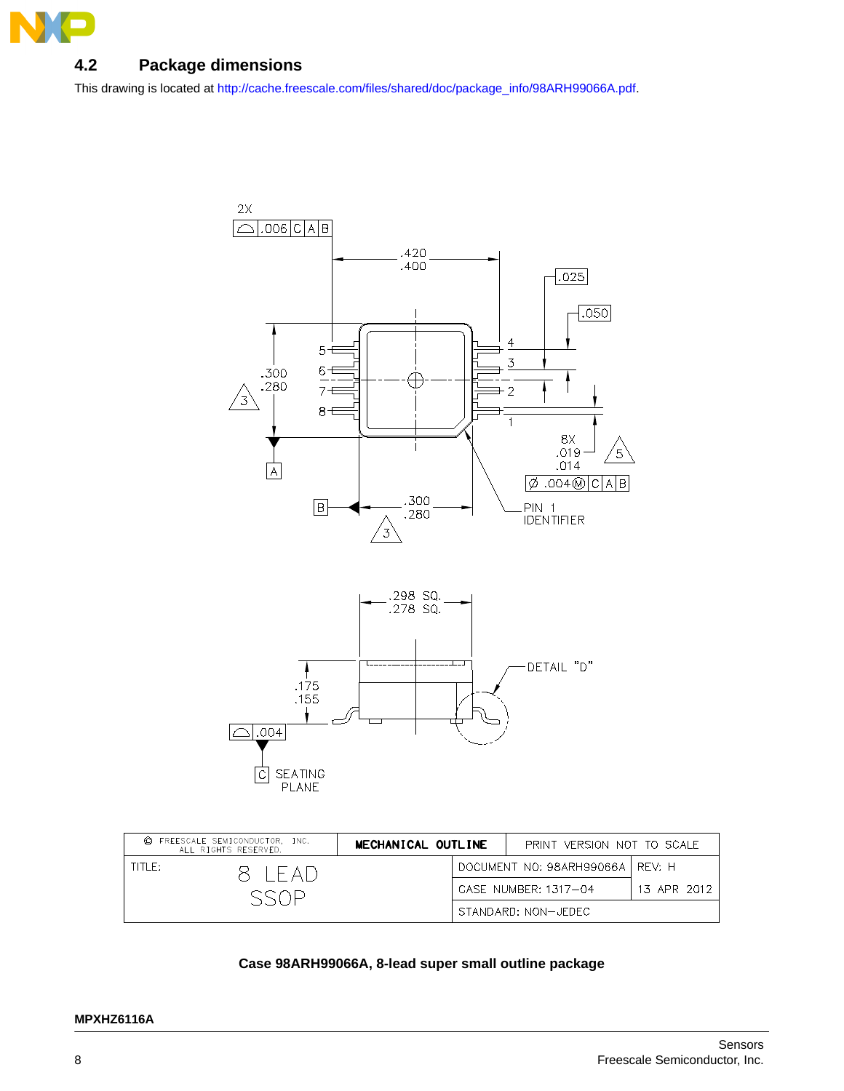

# <span id="page-7-0"></span>**4.2 Package dimensions**

[This drawing is located at h](http://cache.freescale.com/files/shared/doc/package_info/98ARH99066A.pdf)ttp://cache.freescale.com/files/shared/doc/package\_info/98ARH99066A.pdf.



| FREESCALE SEMICONDUCTOR. INC.<br>$\circ$<br>ALL RIGHTS RESERVED. |                            | MECHANICAL OUTLINE<br>PRINT VERSION NOT TO SCALE |  |                                   |             |
|------------------------------------------------------------------|----------------------------|--------------------------------------------------|--|-----------------------------------|-------------|
| TITI F:                                                          | $X \perp F \triangle \Box$ |                                                  |  | DOCUMENT NO: 98ARH99066A   REV: H |             |
|                                                                  |                            |                                                  |  | CASE NUMBER: 1317-04              | 13 APR 2012 |
|                                                                  |                            |                                                  |  | STANDARD: NON-JEDEC               |             |

### **Case 98ARH99066A, 8-lead super small outline package**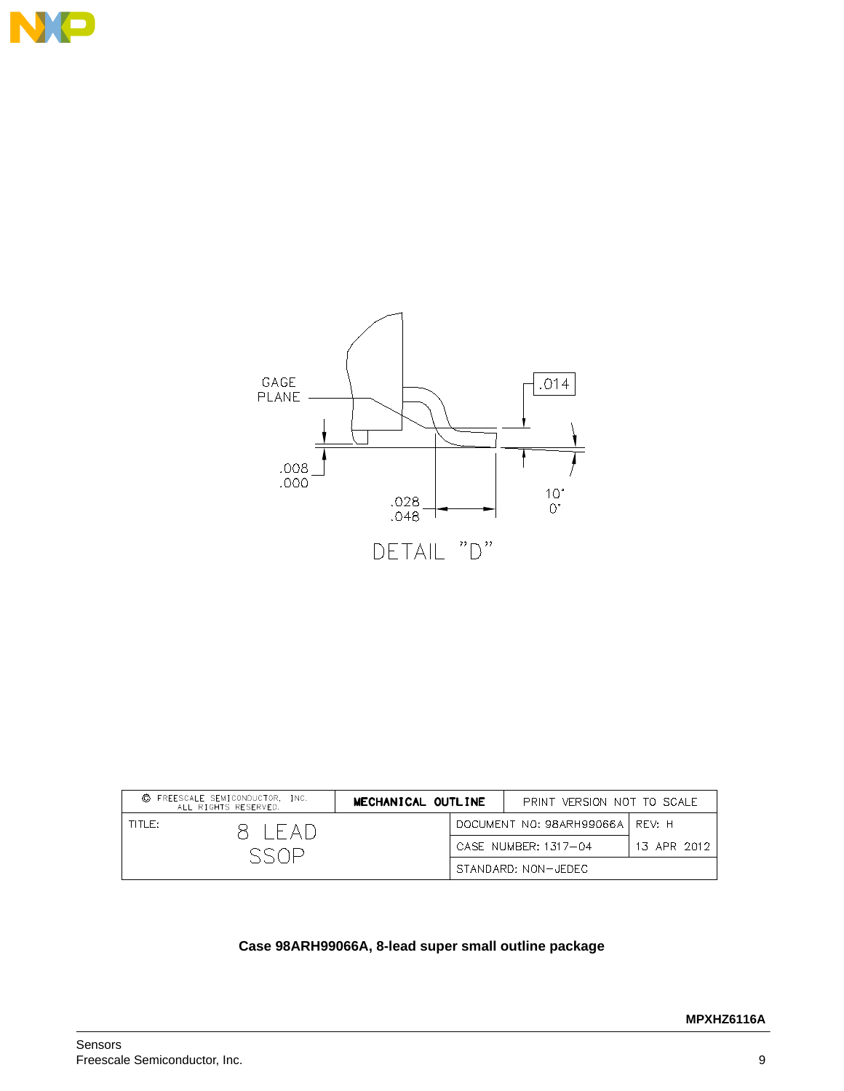



| © FREESCALE SEMICONDUCTOR, INC.<br>ALL RIGHTS RESERVED. |                  | MECHANICAL OUTLINE |  |                                   | PRINT VERSION NOT TO SCALE |  |
|---------------------------------------------------------|------------------|--------------------|--|-----------------------------------|----------------------------|--|
| TITLET                                                  | $R$ $\vdash$ AI) |                    |  | DOCUMENT NO: 98ARH99066A   REV: H |                            |  |
|                                                         |                  |                    |  | CASE NUMBER: 1317-04              | 13 APR 2012                |  |
|                                                         |                  |                    |  | STANDARD: NON-JEDEC               |                            |  |

## **Case 98ARH99066A, 8-lead super small outline package**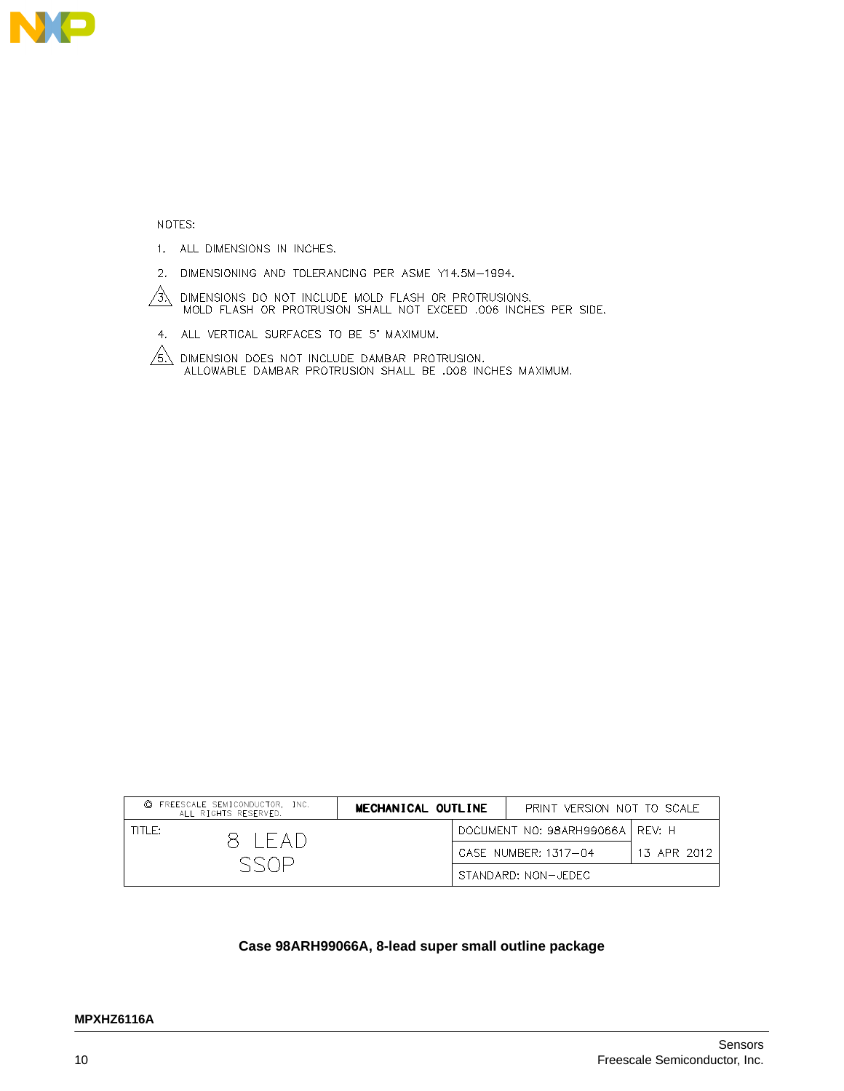

NOTES:

- 1. ALL DIMENSIONS IN INCHES.
- 2. DIMENSIONING AND TOLERANCING PER ASME Y14.5M-1994.
- $\sqrt{3}$ DIMENSIONS DO NOT INCLUDE MOLD FLASH OR PROTRUSIONS.<br>'MOLD FLASH OR PROTRUSION SHALL NOT EXCEED .006 INCHES PER SIDE.
- 4. ALL VERTICAL SURFACES TO BE 5' MAXIMUM.

 $\sqrt{6}$  dimension does not include dambar protrusion.<br>ALLOWABLE DAMBAR PROTRUSION SHALL BE .008 INCHES MAXIMUM.

| C FREESCALE SEMICONDUCTOR. INC.<br>ALL RIGHTS RESERVED. | MECHANICAL OUTLINE<br>PRINT VERSION NOT TO SCALE |  |                                   |             |
|---------------------------------------------------------|--------------------------------------------------|--|-----------------------------------|-------------|
| TITLE:<br>X IFAD                                        |                                                  |  | DOCUMENT NO: 98ARH99066A   REV: H |             |
|                                                         |                                                  |  | CASE NUMBER: 1317-04              | 13 APR 2012 |
|                                                         |                                                  |  | STANDARD: NON-JEDEC               |             |

### **Case 98ARH99066A, 8-lead super small outline package**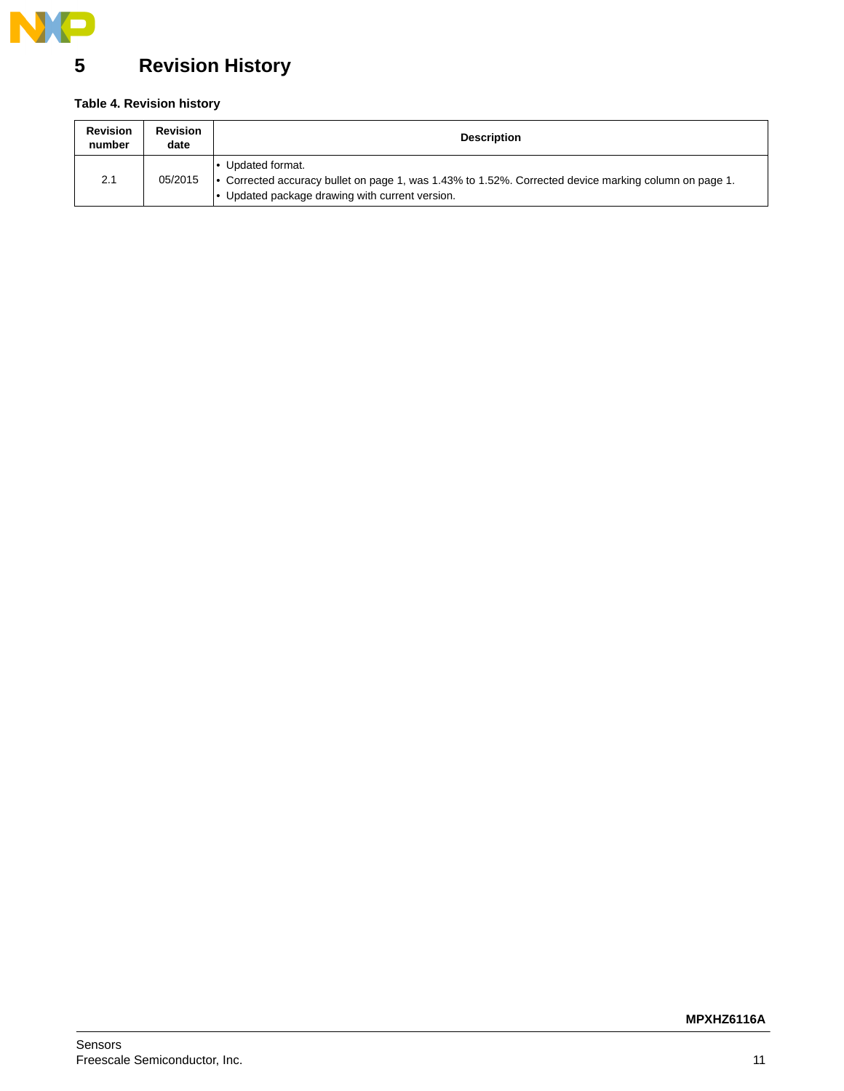

# <span id="page-10-0"></span>**5 Revision History**

## **Table 4. Revision history**

| <b>Revision</b><br>number | <b>Revision</b><br>date | <b>Description</b>                                                                                                                                                        |
|---------------------------|-------------------------|---------------------------------------------------------------------------------------------------------------------------------------------------------------------------|
| 2.1                       | 05/2015                 | Updated format.<br>• Corrected accuracy bullet on page 1, was 1.43% to 1.52%. Corrected device marking column on page 1.<br>Updated package drawing with current version. |